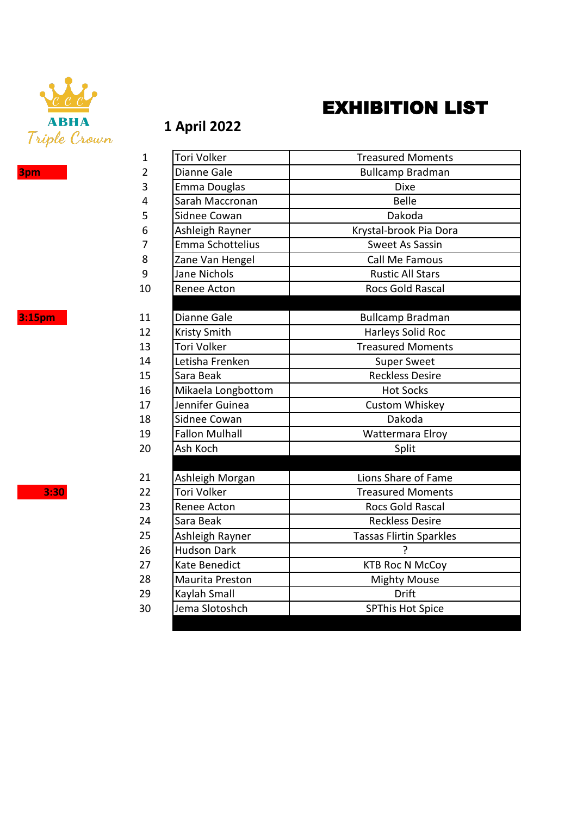

## EXHIBITION LIST

## **1 April 2022**

|--|

| $\mathbf{1}$   | Tori Volker           | <b>Treasured Moments</b>       |
|----------------|-----------------------|--------------------------------|
| $\overline{2}$ | Dianne Gale           | <b>Bullcamp Bradman</b>        |
| 3              | Emma Douglas          | <b>Dixe</b>                    |
| 4              | Sarah Maccronan       | <b>Belle</b>                   |
| 5              | Sidnee Cowan          | Dakoda                         |
| 6              | Ashleigh Rayner       | Krystal-brook Pia Dora         |
| 7              | Emma Schottelius      | Sweet As Sassin                |
| 8              | Zane Van Hengel       | Call Me Famous                 |
| 9              | Jane Nichols          | <b>Rustic All Stars</b>        |
| 10             | Renee Acton           | Rocs Gold Rascal               |
|                |                       |                                |
| 11             | Dianne Gale           | <b>Bullcamp Bradman</b>        |
| 12             | <b>Kristy Smith</b>   | Harleys Solid Roc              |
| 13             | Tori Volker           | <b>Treasured Moments</b>       |
| 14             | Letisha Frenken       | <b>Super Sweet</b>             |
| 15             | Sara Beak             | <b>Reckless Desire</b>         |
| 16             | Mikaela Longbottom    | <b>Hot Socks</b>               |
| 17             | Jennifer Guinea       | Custom Whiskey                 |
| 18             | Sidnee Cowan          | Dakoda                         |
| 19             | <b>Fallon Mulhall</b> | Wattermara Elroy               |
| 20             | Ash Koch              | Split                          |
|                |                       |                                |
| 21             | Ashleigh Morgan       | Lions Share of Fame            |
| 22             | Tori Volker           | <b>Treasured Moments</b>       |
| 23             | Renee Acton           | Rocs Gold Rascal               |
| 24             | Sara Beak             | <b>Reckless Desire</b>         |
| 25             | Ashleigh Rayner       | <b>Tassas Flirtin Sparkles</b> |
| 26             | <b>Hudson Dark</b>    |                                |
| 27             | Kate Benedict         | <b>KTB Roc N McCoy</b>         |
| 28             | Maurita Preston       | <b>Mighty Mouse</b>            |
| 29             | Kaylah Small          | <b>Drift</b>                   |
| 30             | Jema Slotoshch        | <b>SPThis Hot Spice</b>        |
|                |                       |                                |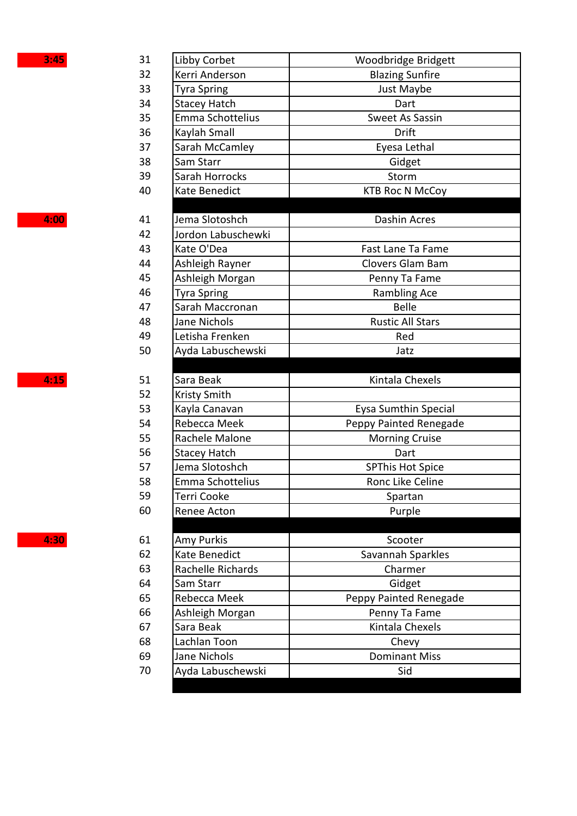| Libby Corbet<br>31<br>Woodbridge Bridgett<br>32<br>Kerri Anderson<br><b>Blazing Sunfire</b><br>33<br>Just Maybe<br><b>Tyra Spring</b><br>34<br><b>Stacey Hatch</b><br>Dart<br>35<br>Emma Schottelius<br><b>Sweet As Sassin</b><br>36<br>Kaylah Small<br>Drift<br>37<br>Sarah McCamley<br>Eyesa Lethal<br>38<br>Sam Starr<br>Gidget<br>39<br>Sarah Horrocks<br>Storm<br>40<br>Kate Benedict<br><b>KTB Roc N McCoy</b><br>Jema Slotoshch<br><b>Dashin Acres</b><br>41<br>42<br>Jordon Labuschewki<br>43<br>Kate O'Dea<br>Fast Lane Ta Fame<br>44<br>Ashleigh Rayner<br>Clovers Glam Bam<br>45<br>Ashleigh Morgan<br>Penny Ta Fame<br>46<br><b>Rambling Ace</b><br><b>Tyra Spring</b><br>47<br><b>Belle</b><br>Sarah Maccronan<br>48<br>Jane Nichols<br><b>Rustic All Stars</b><br>49<br>Letisha Frenken<br>Red<br>50<br>Ayda Labuschewski<br>Jatz<br>4:15<br>Sara Beak<br>Kintala Chexels<br>51<br>52<br>Kristy Smith<br>53<br>Eysa Sumthin Special<br>Kayla Canavan<br>54<br>Rebecca Meek<br>Peppy Painted Renegade<br>55<br>Rachele Malone<br><b>Morning Cruise</b><br>56<br><b>Stacey Hatch</b><br>Dart<br><b>SPThis Hot Spice</b><br>57<br>Jema Slotoshch<br>58<br>Emma Schottelius<br>Ronc Like Celine<br>59<br>Terri Cooke<br>Spartan<br>60<br>Renee Acton<br>Purple<br>Amy Purkis<br>61<br>Scooter<br>62<br>Kate Benedict<br>Savannah Sparkles<br>63<br>Rachelle Richards<br>Charmer<br>64<br>Sam Starr<br>Gidget<br>65<br>Rebecca Meek<br>Peppy Painted Renegade<br>66<br>Ashleigh Morgan<br>Penny Ta Fame<br>Kintala Chexels<br>67<br>Sara Beak<br>68<br>Lachlan Toon<br>Chevy<br>Jane Nichols<br><b>Dominant Miss</b><br>69<br>Ayda Labuschewski<br>70<br>Sid | 3:45 |  |
|-----------------------------------------------------------------------------------------------------------------------------------------------------------------------------------------------------------------------------------------------------------------------------------------------------------------------------------------------------------------------------------------------------------------------------------------------------------------------------------------------------------------------------------------------------------------------------------------------------------------------------------------------------------------------------------------------------------------------------------------------------------------------------------------------------------------------------------------------------------------------------------------------------------------------------------------------------------------------------------------------------------------------------------------------------------------------------------------------------------------------------------------------------------------------------------------------------------------------------------------------------------------------------------------------------------------------------------------------------------------------------------------------------------------------------------------------------------------------------------------------------------------------------------------------------------------------------------------------------------------------------------------------------------------------|------|--|
|                                                                                                                                                                                                                                                                                                                                                                                                                                                                                                                                                                                                                                                                                                                                                                                                                                                                                                                                                                                                                                                                                                                                                                                                                                                                                                                                                                                                                                                                                                                                                                                                                                                                       |      |  |
|                                                                                                                                                                                                                                                                                                                                                                                                                                                                                                                                                                                                                                                                                                                                                                                                                                                                                                                                                                                                                                                                                                                                                                                                                                                                                                                                                                                                                                                                                                                                                                                                                                                                       |      |  |
|                                                                                                                                                                                                                                                                                                                                                                                                                                                                                                                                                                                                                                                                                                                                                                                                                                                                                                                                                                                                                                                                                                                                                                                                                                                                                                                                                                                                                                                                                                                                                                                                                                                                       |      |  |
|                                                                                                                                                                                                                                                                                                                                                                                                                                                                                                                                                                                                                                                                                                                                                                                                                                                                                                                                                                                                                                                                                                                                                                                                                                                                                                                                                                                                                                                                                                                                                                                                                                                                       |      |  |
|                                                                                                                                                                                                                                                                                                                                                                                                                                                                                                                                                                                                                                                                                                                                                                                                                                                                                                                                                                                                                                                                                                                                                                                                                                                                                                                                                                                                                                                                                                                                                                                                                                                                       |      |  |
|                                                                                                                                                                                                                                                                                                                                                                                                                                                                                                                                                                                                                                                                                                                                                                                                                                                                                                                                                                                                                                                                                                                                                                                                                                                                                                                                                                                                                                                                                                                                                                                                                                                                       |      |  |
|                                                                                                                                                                                                                                                                                                                                                                                                                                                                                                                                                                                                                                                                                                                                                                                                                                                                                                                                                                                                                                                                                                                                                                                                                                                                                                                                                                                                                                                                                                                                                                                                                                                                       |      |  |
|                                                                                                                                                                                                                                                                                                                                                                                                                                                                                                                                                                                                                                                                                                                                                                                                                                                                                                                                                                                                                                                                                                                                                                                                                                                                                                                                                                                                                                                                                                                                                                                                                                                                       |      |  |
|                                                                                                                                                                                                                                                                                                                                                                                                                                                                                                                                                                                                                                                                                                                                                                                                                                                                                                                                                                                                                                                                                                                                                                                                                                                                                                                                                                                                                                                                                                                                                                                                                                                                       |      |  |
|                                                                                                                                                                                                                                                                                                                                                                                                                                                                                                                                                                                                                                                                                                                                                                                                                                                                                                                                                                                                                                                                                                                                                                                                                                                                                                                                                                                                                                                                                                                                                                                                                                                                       |      |  |
|                                                                                                                                                                                                                                                                                                                                                                                                                                                                                                                                                                                                                                                                                                                                                                                                                                                                                                                                                                                                                                                                                                                                                                                                                                                                                                                                                                                                                                                                                                                                                                                                                                                                       | 4:00 |  |
|                                                                                                                                                                                                                                                                                                                                                                                                                                                                                                                                                                                                                                                                                                                                                                                                                                                                                                                                                                                                                                                                                                                                                                                                                                                                                                                                                                                                                                                                                                                                                                                                                                                                       |      |  |
|                                                                                                                                                                                                                                                                                                                                                                                                                                                                                                                                                                                                                                                                                                                                                                                                                                                                                                                                                                                                                                                                                                                                                                                                                                                                                                                                                                                                                                                                                                                                                                                                                                                                       |      |  |
|                                                                                                                                                                                                                                                                                                                                                                                                                                                                                                                                                                                                                                                                                                                                                                                                                                                                                                                                                                                                                                                                                                                                                                                                                                                                                                                                                                                                                                                                                                                                                                                                                                                                       |      |  |
|                                                                                                                                                                                                                                                                                                                                                                                                                                                                                                                                                                                                                                                                                                                                                                                                                                                                                                                                                                                                                                                                                                                                                                                                                                                                                                                                                                                                                                                                                                                                                                                                                                                                       |      |  |
|                                                                                                                                                                                                                                                                                                                                                                                                                                                                                                                                                                                                                                                                                                                                                                                                                                                                                                                                                                                                                                                                                                                                                                                                                                                                                                                                                                                                                                                                                                                                                                                                                                                                       |      |  |
|                                                                                                                                                                                                                                                                                                                                                                                                                                                                                                                                                                                                                                                                                                                                                                                                                                                                                                                                                                                                                                                                                                                                                                                                                                                                                                                                                                                                                                                                                                                                                                                                                                                                       |      |  |
|                                                                                                                                                                                                                                                                                                                                                                                                                                                                                                                                                                                                                                                                                                                                                                                                                                                                                                                                                                                                                                                                                                                                                                                                                                                                                                                                                                                                                                                                                                                                                                                                                                                                       |      |  |
|                                                                                                                                                                                                                                                                                                                                                                                                                                                                                                                                                                                                                                                                                                                                                                                                                                                                                                                                                                                                                                                                                                                                                                                                                                                                                                                                                                                                                                                                                                                                                                                                                                                                       |      |  |
|                                                                                                                                                                                                                                                                                                                                                                                                                                                                                                                                                                                                                                                                                                                                                                                                                                                                                                                                                                                                                                                                                                                                                                                                                                                                                                                                                                                                                                                                                                                                                                                                                                                                       |      |  |
|                                                                                                                                                                                                                                                                                                                                                                                                                                                                                                                                                                                                                                                                                                                                                                                                                                                                                                                                                                                                                                                                                                                                                                                                                                                                                                                                                                                                                                                                                                                                                                                                                                                                       |      |  |
|                                                                                                                                                                                                                                                                                                                                                                                                                                                                                                                                                                                                                                                                                                                                                                                                                                                                                                                                                                                                                                                                                                                                                                                                                                                                                                                                                                                                                                                                                                                                                                                                                                                                       |      |  |
|                                                                                                                                                                                                                                                                                                                                                                                                                                                                                                                                                                                                                                                                                                                                                                                                                                                                                                                                                                                                                                                                                                                                                                                                                                                                                                                                                                                                                                                                                                                                                                                                                                                                       |      |  |
|                                                                                                                                                                                                                                                                                                                                                                                                                                                                                                                                                                                                                                                                                                                                                                                                                                                                                                                                                                                                                                                                                                                                                                                                                                                                                                                                                                                                                                                                                                                                                                                                                                                                       |      |  |
|                                                                                                                                                                                                                                                                                                                                                                                                                                                                                                                                                                                                                                                                                                                                                                                                                                                                                                                                                                                                                                                                                                                                                                                                                                                                                                                                                                                                                                                                                                                                                                                                                                                                       |      |  |
|                                                                                                                                                                                                                                                                                                                                                                                                                                                                                                                                                                                                                                                                                                                                                                                                                                                                                                                                                                                                                                                                                                                                                                                                                                                                                                                                                                                                                                                                                                                                                                                                                                                                       |      |  |
|                                                                                                                                                                                                                                                                                                                                                                                                                                                                                                                                                                                                                                                                                                                                                                                                                                                                                                                                                                                                                                                                                                                                                                                                                                                                                                                                                                                                                                                                                                                                                                                                                                                                       |      |  |
|                                                                                                                                                                                                                                                                                                                                                                                                                                                                                                                                                                                                                                                                                                                                                                                                                                                                                                                                                                                                                                                                                                                                                                                                                                                                                                                                                                                                                                                                                                                                                                                                                                                                       |      |  |
|                                                                                                                                                                                                                                                                                                                                                                                                                                                                                                                                                                                                                                                                                                                                                                                                                                                                                                                                                                                                                                                                                                                                                                                                                                                                                                                                                                                                                                                                                                                                                                                                                                                                       |      |  |
|                                                                                                                                                                                                                                                                                                                                                                                                                                                                                                                                                                                                                                                                                                                                                                                                                                                                                                                                                                                                                                                                                                                                                                                                                                                                                                                                                                                                                                                                                                                                                                                                                                                                       |      |  |
|                                                                                                                                                                                                                                                                                                                                                                                                                                                                                                                                                                                                                                                                                                                                                                                                                                                                                                                                                                                                                                                                                                                                                                                                                                                                                                                                                                                                                                                                                                                                                                                                                                                                       |      |  |
|                                                                                                                                                                                                                                                                                                                                                                                                                                                                                                                                                                                                                                                                                                                                                                                                                                                                                                                                                                                                                                                                                                                                                                                                                                                                                                                                                                                                                                                                                                                                                                                                                                                                       |      |  |
|                                                                                                                                                                                                                                                                                                                                                                                                                                                                                                                                                                                                                                                                                                                                                                                                                                                                                                                                                                                                                                                                                                                                                                                                                                                                                                                                                                                                                                                                                                                                                                                                                                                                       |      |  |
|                                                                                                                                                                                                                                                                                                                                                                                                                                                                                                                                                                                                                                                                                                                                                                                                                                                                                                                                                                                                                                                                                                                                                                                                                                                                                                                                                                                                                                                                                                                                                                                                                                                                       |      |  |
|                                                                                                                                                                                                                                                                                                                                                                                                                                                                                                                                                                                                                                                                                                                                                                                                                                                                                                                                                                                                                                                                                                                                                                                                                                                                                                                                                                                                                                                                                                                                                                                                                                                                       | 4:30 |  |
|                                                                                                                                                                                                                                                                                                                                                                                                                                                                                                                                                                                                                                                                                                                                                                                                                                                                                                                                                                                                                                                                                                                                                                                                                                                                                                                                                                                                                                                                                                                                                                                                                                                                       |      |  |
|                                                                                                                                                                                                                                                                                                                                                                                                                                                                                                                                                                                                                                                                                                                                                                                                                                                                                                                                                                                                                                                                                                                                                                                                                                                                                                                                                                                                                                                                                                                                                                                                                                                                       |      |  |
|                                                                                                                                                                                                                                                                                                                                                                                                                                                                                                                                                                                                                                                                                                                                                                                                                                                                                                                                                                                                                                                                                                                                                                                                                                                                                                                                                                                                                                                                                                                                                                                                                                                                       |      |  |
|                                                                                                                                                                                                                                                                                                                                                                                                                                                                                                                                                                                                                                                                                                                                                                                                                                                                                                                                                                                                                                                                                                                                                                                                                                                                                                                                                                                                                                                                                                                                                                                                                                                                       |      |  |
|                                                                                                                                                                                                                                                                                                                                                                                                                                                                                                                                                                                                                                                                                                                                                                                                                                                                                                                                                                                                                                                                                                                                                                                                                                                                                                                                                                                                                                                                                                                                                                                                                                                                       |      |  |
|                                                                                                                                                                                                                                                                                                                                                                                                                                                                                                                                                                                                                                                                                                                                                                                                                                                                                                                                                                                                                                                                                                                                                                                                                                                                                                                                                                                                                                                                                                                                                                                                                                                                       |      |  |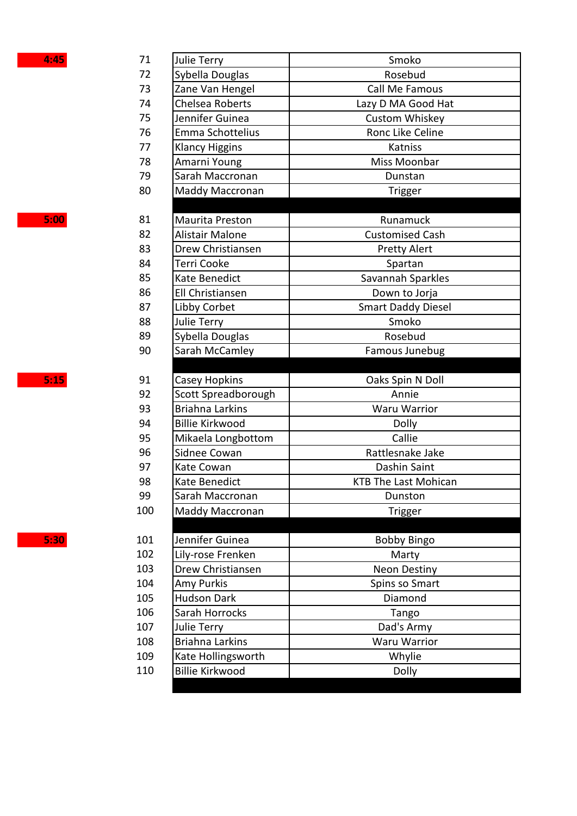| 4:45 | 71  | Julie Terry            | Smoko                       |
|------|-----|------------------------|-----------------------------|
|      | 72  | Sybella Douglas        | Rosebud                     |
|      | 73  | Zane Van Hengel        | Call Me Famous              |
|      | 74  | Chelsea Roberts        | Lazy D MA Good Hat          |
|      | 75  | Jennifer Guinea        | Custom Whiskey              |
| 76   |     | Emma Schottelius       | Ronc Like Celine            |
|      | 77  | <b>Klancy Higgins</b>  | Katniss                     |
|      | 78  | Amarni Young           | Miss Moonbar                |
|      | 79  | Sarah Maccronan        | Dunstan                     |
|      | 80  | Maddy Maccronan        | Trigger                     |
|      |     |                        |                             |
| 5:00 | 81  | Maurita Preston        | Runamuck                    |
|      | 82  | Alistair Malone        | <b>Customised Cash</b>      |
|      | 83  | Drew Christiansen      | <b>Pretty Alert</b>         |
|      | 84  | Terri Cooke            | Spartan                     |
|      | 85  | Kate Benedict          | Savannah Sparkles           |
|      | 86  | Ell Christiansen       | Down to Jorja               |
|      | 87  | Libby Corbet           | <b>Smart Daddy Diesel</b>   |
|      | 88  | Julie Terry            | Smoko                       |
|      | 89  | Sybella Douglas        | Rosebud                     |
|      | 90  | Sarah McCamley         | Famous Junebug              |
|      |     |                        |                             |
|      |     |                        |                             |
| 5:15 | 91  | <b>Casey Hopkins</b>   | Oaks Spin N Doll            |
|      | 92  | Scott Spreadborough    | Annie                       |
|      | 93  | <b>Briahna Larkins</b> | <b>Waru Warrior</b>         |
|      | 94  | <b>Billie Kirkwood</b> | Dolly                       |
|      | 95  | Mikaela Longbottom     | Callie                      |
|      | 96  | Sidnee Cowan           | Rattlesnake Jake            |
|      | 97  | Kate Cowan             | Dashin Saint                |
|      | 98  | Kate Benedict          | <b>KTB The Last Mohican</b> |
|      | 99  | Sarah Maccronan        | Dunston                     |
|      | 100 | <b>Maddy Maccronan</b> | Trigger                     |
|      |     |                        |                             |
| 5:30 | 101 | Jennifer Guinea        | <b>Bobby Bingo</b>          |
|      | 102 | Lily-rose Frenken      | Marty                       |
|      | 103 | Drew Christiansen      | <b>Neon Destiny</b>         |
|      | 104 | Amy Purkis             | Spins so Smart              |
|      | 105 | Hudson Dark            | Diamond                     |
|      | 106 | Sarah Horrocks         | Tango                       |
|      | 107 | Julie Terry            | Dad's Army                  |
|      | 108 | <b>Briahna Larkins</b> | Waru Warrior                |
|      | 109 | Kate Hollingsworth     | Whylie                      |
|      | 110 | <b>Billie Kirkwood</b> | Dolly                       |